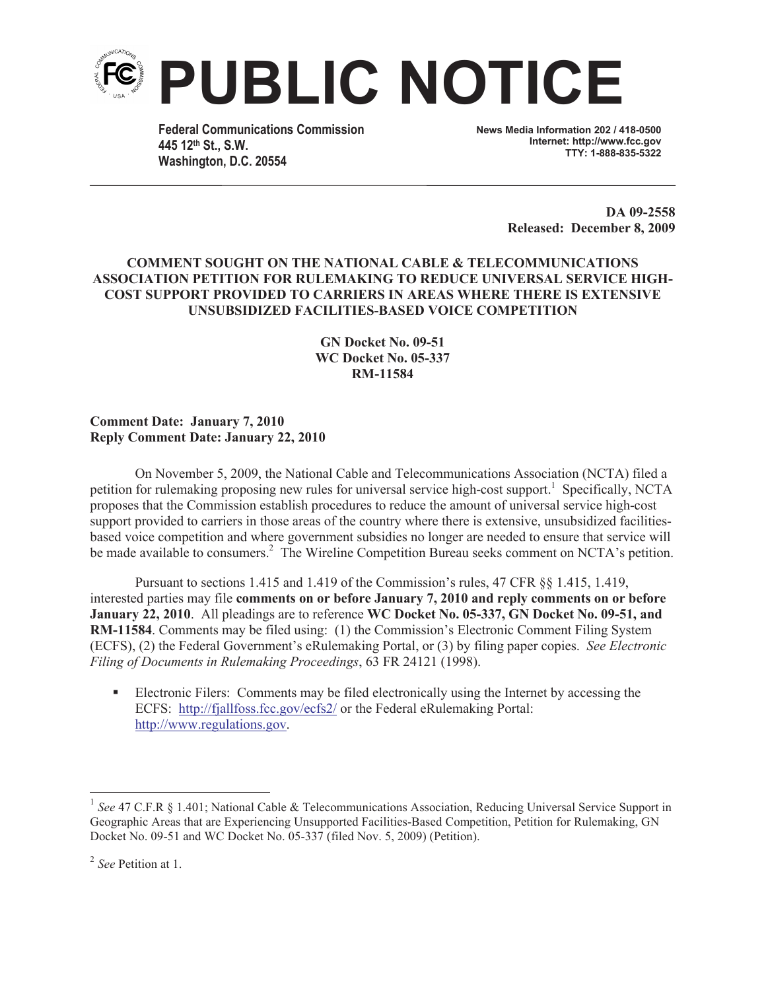

**Federal Communications Commission 445 12th St., S.W. Washington, D.C. 20554**

**News Media Information 202 / 418-0500 Internet: http://www.fcc.gov TTY: 1-888-835-5322**

> **DA 09-2558 Released: December 8, 2009**

## **COMMENT SOUGHT ON THE NATIONAL CABLE & TELECOMMUNICATIONS ASSOCIATION PETITION FOR RULEMAKING TO REDUCE UNIVERSAL SERVICE HIGH-COST SUPPORT PROVIDED TO CARRIERS IN AREAS WHERE THERE IS EXTENSIVE UNSUBSIDIZED FACILITIES-BASED VOICE COMPETITION**

**GN Docket No. 09-51 WC Docket No. 05-337 RM-11584**

**Comment Date: January 7, 2010 Reply Comment Date: January 22, 2010**

On November 5, 2009, the National Cable and Telecommunications Association (NCTA) filed a petition for rulemaking proposing new rules for universal service high-cost support.<sup>1</sup> Specifically, NCTA proposes that the Commission establish procedures to reduce the amount of universal service high-cost support provided to carriers in those areas of the country where there is extensive, unsubsidized facilitiesbased voice competition and where government subsidies no longer are needed to ensure that service will be made available to consumers.<sup>2</sup> The Wireline Competition Bureau seeks comment on NCTA's petition.

Pursuant to sections 1.415 and 1.419 of the Commission's rules, 47 CFR §§ 1.415, 1.419, interested parties may file **comments on or before January 7, 2010 and reply comments on or before January 22, 2010**. All pleadings are to reference **WC Docket No. 05-337, GN Docket No. 09-51, and RM-11584**. Comments may be filed using: (1) the Commission's Electronic Comment Filing System (ECFS), (2) the Federal Government's eRulemaking Portal, or (3) by filing paper copies. *See Electronic Filing of Documents in Rulemaking Proceedings*, 63 FR 24121 (1998).

Electronic Filers: Comments may be filed electronically using the Internet by accessing the ECFS: http://fjallfoss.fcc.gov/ecfs2/ or the Federal eRulemaking Portal: http://www.regulations.gov.

<sup>&</sup>lt;sup>1</sup> See 47 C.F.R § 1.401; National Cable & Telecommunications Association, Reducing Universal Service Support in Geographic Areas that are Experiencing Unsupported Facilities-Based Competition, Petition for Rulemaking, GN Docket No. 09-51 and WC Docket No. 05-337 (filed Nov. 5, 2009) (Petition).

<sup>2</sup> *See* Petition at 1.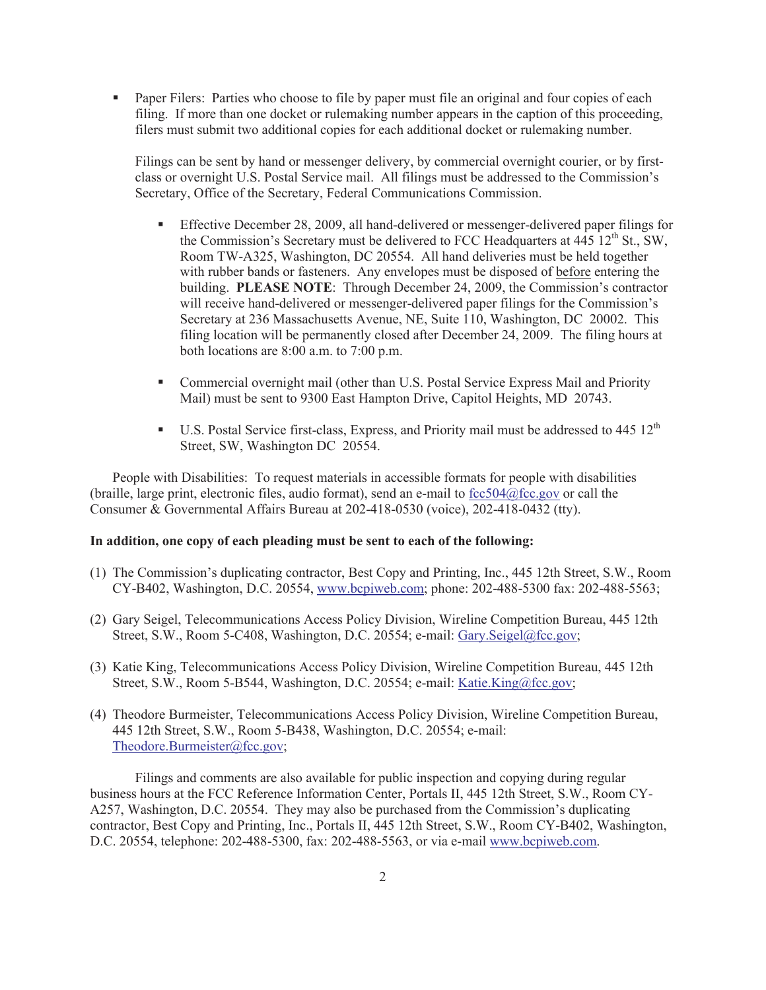• Paper Filers: Parties who choose to file by paper must file an original and four copies of each filing. If more than one docket or rulemaking number appears in the caption of this proceeding, filers must submit two additional copies for each additional docket or rulemaking number.

Filings can be sent by hand or messenger delivery, by commercial overnight courier, or by firstclass or overnight U.S. Postal Service mail. All filings must be addressed to the Commission's Secretary, Office of the Secretary, Federal Communications Commission.

- § Effective December 28, 2009, all hand-delivered or messenger-delivered paper filings for the Commission's Secretary must be delivered to FCC Headquarters at  $445\ 12<sup>th</sup>$  St., SW, Room TW-A325, Washington, DC 20554. All hand deliveries must be held together with rubber bands or fasteners. Any envelopes must be disposed of before entering the building. **PLEASE NOTE**: Through December 24, 2009, the Commission's contractor will receive hand-delivered or messenger-delivered paper filings for the Commission's Secretary at 236 Massachusetts Avenue, NE, Suite 110, Washington, DC 20002. This filing location will be permanently closed after December 24, 2009. The filing hours at both locations are 8:00 a.m. to 7:00 p.m.
- Commercial overnight mail (other than U.S. Postal Service Express Mail and Priority Mail) must be sent to 9300 East Hampton Drive, Capitol Heights, MD 20743.
- **•** U.S. Postal Service first-class, Express, and Priority mail must be addressed to 445  $12<sup>th</sup>$ Street, SW, Washington DC 20554.

People with Disabilities: To request materials in accessible formats for people with disabilities (braille, large print, electronic files, audio format), send an e-mail to  $\frac{\frac{1}{100}}{\frac{1}{100}}$  fcc.gov or call the Consumer & Governmental Affairs Bureau at 202-418-0530 (voice), 202-418-0432 (tty).

## **In addition, one copy of each pleading must be sent to each of the following:**

- (1) The Commission's duplicating contractor, Best Copy and Printing, Inc., 445 12th Street, S.W., Room CY-B402, Washington, D.C. 20554, www.bcpiweb.com; phone: 202-488-5300 fax: 202-488-5563;
- (2) Gary Seigel, Telecommunications Access Policy Division, Wireline Competition Bureau, 445 12th Street, S.W., Room 5-C408, Washington, D.C. 20554; e-mail: Gary.Seigel@fcc.gov;
- (3) Katie King, Telecommunications Access Policy Division, Wireline Competition Bureau, 445 12th Street, S.W., Room 5-B544, Washington, D.C. 20554; e-mail: Katie.King@fcc.gov;
- (4) Theodore Burmeister, Telecommunications Access Policy Division, Wireline Competition Bureau, 445 12th Street, S.W., Room 5-B438, Washington, D.C. 20554; e-mail: Theodore.Burmeister@fcc.gov;

Filings and comments are also available for public inspection and copying during regular business hours at the FCC Reference Information Center, Portals II, 445 12th Street, S.W., Room CY-A257, Washington, D.C. 20554. They may also be purchased from the Commission's duplicating contractor, Best Copy and Printing, Inc., Portals II, 445 12th Street, S.W., Room CY-B402, Washington, D.C. 20554, telephone: 202-488-5300, fax: 202-488-5563, or via e-mail www.bcpiweb.com.